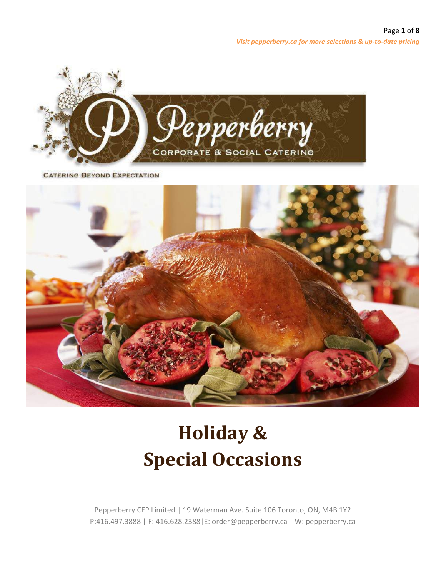

**CATERING BEYOND EXPECTATION** 



# **Holiday & Special Occasions**

Pepperberry CEP Limited | 19 Waterman Ave. Suite 106 Toronto, ON, M4B 1Y2 P:416.497.3888 | F: 416.628.2388|E: order@pepperberry.ca | W: pepperberry.ca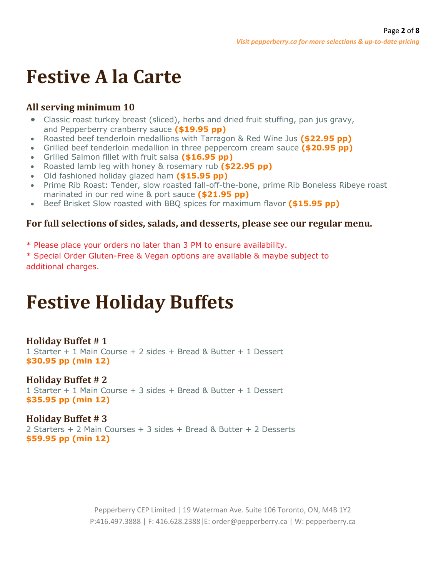# **Festive A la Carte**

# **All serving minimum 10**

- Classic roast turkey breast (sliced), herbs and dried fruit stuffing, pan jus gravy, and Pepperberry cranberry sauce **(\$19.95 pp)**
- Roasted beef tenderloin medallions with Tarragon & Red Wine Jus **(\$22.95 pp)**
- Grilled beef tenderloin medallion in three peppercorn cream sauce **(\$20.95 pp)**
- Grilled Salmon fillet with fruit salsa **(\$16.95 pp)**
- Roasted lamb leg with honey & rosemary rub **(\$22.95 pp)**
- Old fashioned holiday glazed ham **(\$15.95 pp)**
- Prime Rib Roast: Tender, slow roasted fall-off-the-bone, prime Rib Boneless Ribeye roast marinated in our red wine & port sauce **(\$21.95 pp)**
- Beef Brisket Slow roasted with BBQ spices for maximum flavor **(\$15.95 pp)**

## **For full selections of sides, salads, and desserts, please see our regular menu.**

- \* Please place your orders no later than 3 PM to ensure availability.
- \* Special Order Gluten-Free & Vegan options are available & maybe subject to additional charges.

# **Festive Holiday Buffets**

# **Holiday Buffet # 1**

1 Starter + 1 Main Course + 2 sides + Bread & Butter + 1 Dessert **\$30.95 pp (min 12)**

#### **Holiday Buffet # 2** 1 Starter + 1 Main Course + 3 sides + Bread & Butter + 1 Dessert **\$35.95 pp (min 12)**

**Holiday Buffet # 3** 2 Starters + 2 Main Courses + 3 sides + Bread & Butter + 2 Desserts **\$59.95 pp (min 12)**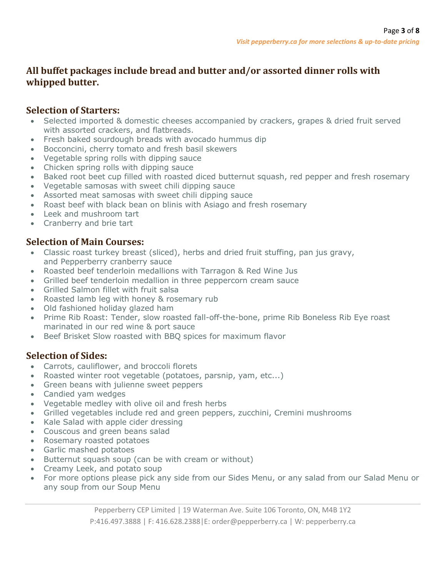# **All buffet packages include bread and butter and/or assorted dinner rolls with whipped butter.**

#### **Selection of Starters:**

- Selected imported & domestic cheeses accompanied by crackers, grapes & dried fruit served with assorted crackers, and flatbreads.
- Fresh baked sourdough breads with avocado hummus dip
- Bocconcini, cherry tomato and fresh basil skewers
- Vegetable spring rolls with dipping sauce
- Chicken spring rolls with dipping sauce
- Baked root beet cup filled with roasted diced butternut squash, red pepper and fresh rosemary
- Vegetable samosas with sweet chili dipping sauce
- Assorted meat samosas with sweet chili dipping sauce
- Roast beef with black bean on blinis with Asiago and fresh rosemary
- Leek and mushroom tart
- Cranberry and brie tart

## **Selection of Main Courses:**

- Classic roast turkey breast (sliced), herbs and dried fruit stuffing, pan jus gravy, and Pepperberry cranberry sauce
- Roasted beef tenderloin medallions with Tarragon & Red Wine Jus
- Grilled beef tenderloin medallion in three peppercorn cream sauce
- Grilled Salmon fillet with fruit salsa
- Roasted lamb leg with honey & rosemary rub
- Old fashioned holiday glazed ham
- Prime Rib Roast: Tender, slow roasted fall-off-the-bone, prime Rib Boneless Rib Eye roast marinated in our red wine & port sauce
- Beef Brisket Slow roasted with BBQ spices for maximum flavor

# **Selection of Sides:**

- Carrots, cauliflower, and broccoli florets
- Roasted winter root vegetable (potatoes, parsnip, yam, etc...)
- Green beans with julienne sweet peppers
- Candied yam wedges
- Vegetable medley with olive oil and fresh herbs
- Grilled vegetables include red and green peppers, zucchini, Cremini mushrooms
- Kale Salad with apple cider dressing
- Couscous and green beans salad
- Rosemary roasted potatoes
- Garlic mashed potatoes
- Butternut squash soup (can be with cream or without)
- Creamy Leek, and potato soup
- For more options please pick any side from our Sides Menu, or any salad from our Salad Menu or any soup from our Soup Menu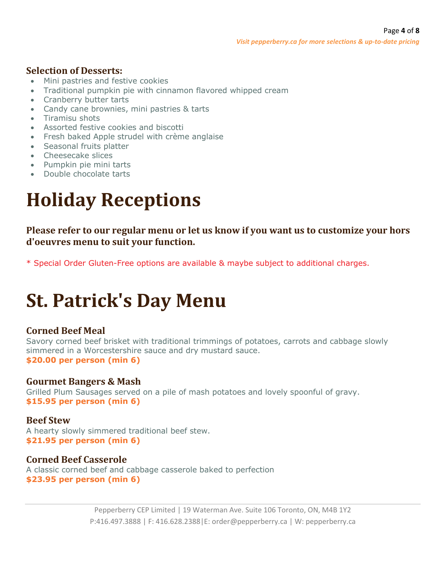## **Selection of Desserts:**

- Mini pastries and festive cookies
- Traditional pumpkin pie with cinnamon flavored whipped cream
- Cranberry butter tarts
- Candy cane brownies, mini pastries & tarts
- Tiramisu shots
- Assorted festive cookies and biscotti
- Fresh baked Apple strudel with crème anglaise
- Seasonal fruits platter
- Cheesecake slices
- Pumpkin pie mini tarts
- Double chocolate tarts

# **Holiday Receptions**

**Please refer to our regular menu or let us know if you want us to customize your hors d'oeuvres menu to suit your function.**

\* Special Order Gluten-Free options are available & maybe subject to additional charges.

# **St. Patrick's Day Menu**

# **Corned Beef Meal**

Savory corned beef brisket with traditional trimmings of potatoes, carrots and cabbage slowly simmered in a Worcestershire sauce and dry mustard sauce. **\$20.00 per person (min 6)**

## **Gourmet Bangers & Mash**

Grilled Plum Sausages served on a pile of mash potatoes and lovely spoonful of gravy. **\$15.95 per person (min 6)**

## **Beef Stew**

A hearty slowly simmered traditional beef stew. **\$21.95 per person (min 6)**

## **Corned Beef Casserole**

A classic corned beef and cabbage casserole baked to perfection **\$23.95 per person (min 6)**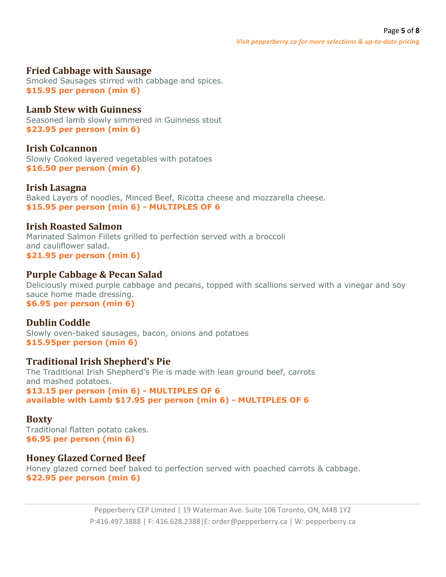#### **Fried Cabbage with Sausage**

Smoked Sausages stirred with cabbage and spices. **\$15.95 per person (min 6)**

#### **Lamb Stew with Guinness**

Seasoned lamb slowly simmered in Guinness stout **\$23.95 per person (min 6)**

#### **Irish Colcannon**

Slowly Cooked layered vegetables with potatoes **\$16.50 per person (min 6)**

#### **Irish Lasagna**

Baked Layers of noodles, Minced Beef, Ricotta cheese and mozzarella cheese. **\$15.95 per person (min 6) - MULTIPLES OF 6**

#### **Irish Roasted Salmon**

Marinated Salmon Fillets grilled to perfection served with a broccoli and cauliflower salad. **\$21.95 per person (min 6)**

#### **Purple Cabbage & Pecan Salad**

Deliciously mixed purple cabbage and pecans, topped with scallions served with a vinegar and soy sauce home made dressing. **\$6.95 per person (min 6)**

#### **Dublin Coddle**

Slowly oven-baked sausages, bacon, onions and potatoes **\$15.95per person (min 6)**

#### **Traditional Irish Shepherd's Pie**

The Traditional Irish Shepherd's Pie is made with lean ground beef, carrots and mashed potatoes. **\$13.15 per person (min 6) - MULTIPLES OF 6 available with Lamb \$17.95 per person (min 6) - MULTIPLES OF 6**

#### **Boxty**

Traditional flatten potato cakes. **\$6.95 per person (min 6)**

#### **Honey Glazed Corned Beef**

Honey glazed corned beef baked to perfection served with poached carrots & cabbage. **\$22.95 per person (min 6)**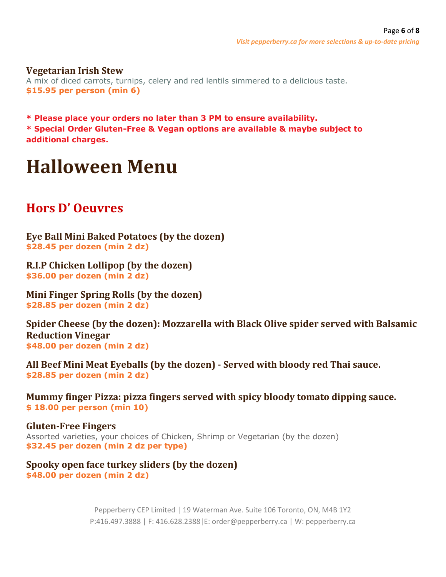#### **Vegetarian Irish Stew**

A mix of diced carrots, turnips, celery and red lentils simmered to a delicious taste. **\$15.95 per person (min 6)**

**\* Please place your orders no later than 3 PM to ensure availability. \* Special Order Gluten-Free & Vegan options are available & maybe subject to additional charges.**

# **Halloween Menu**

# **Hors D' Oeuvres**

**Eye Ball Mini Baked Potatoes (by the dozen) \$28.45 per dozen (min 2 dz)**

**R.I.P Chicken Lollipop (by the dozen) \$36.00 per dozen (min 2 dz)**

**Mini Finger Spring Rolls (by the dozen) \$28.85 per dozen (min 2 dz)**

**Spider Cheese (by the dozen): Mozzarella with Black Olive spider served with Balsamic Reduction Vinegar \$48.00 per dozen (min 2 dz)**

**All Beef Mini Meat Eyeballs (by the dozen) - Served with bloody red Thai sauce. \$28.85 per dozen (min 2 dz)**

**Mummy finger Pizza: pizza fingers served with spicy bloody tomato dipping sauce. \$ 18.00 per person (min 10)**

**Gluten-Free Fingers** Assorted varieties, your choices of Chicken, Shrimp or Vegetarian (by the dozen) **\$32.45 per dozen (min 2 dz per type)**

**Spooky open face turkey sliders (by the dozen) \$48.00 per dozen (min 2 dz)**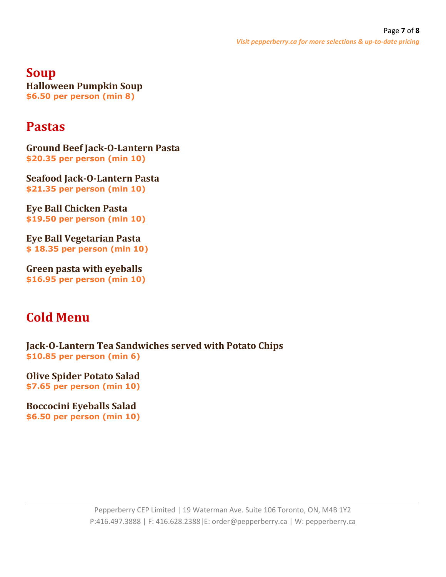**Soup Halloween Pumpkin Soup \$6.50 per person (min 8)**

# **Pastas**

**Ground Beef Jack-O-Lantern Pasta \$20.35 per person (min 10)**

**Seafood Jack-O-Lantern Pasta \$21.35 per person (min 10)**

**Eye Ball Chicken Pasta \$19.50 per person (min 10)**

**Eye Ball Vegetarian Pasta \$ 18.35 per person (min 10)**

**Green pasta with eyeballs \$16.95 per person (min 10)**

# **Cold Menu**

**Jack-O-Lantern Tea Sandwiches served with Potato Chips \$10.85 per person (min 6)**

**Olive Spider Potato Salad \$7.65 per person (min 10)**

**Boccocini Eyeballs Salad \$6.50 per person (min 10)**